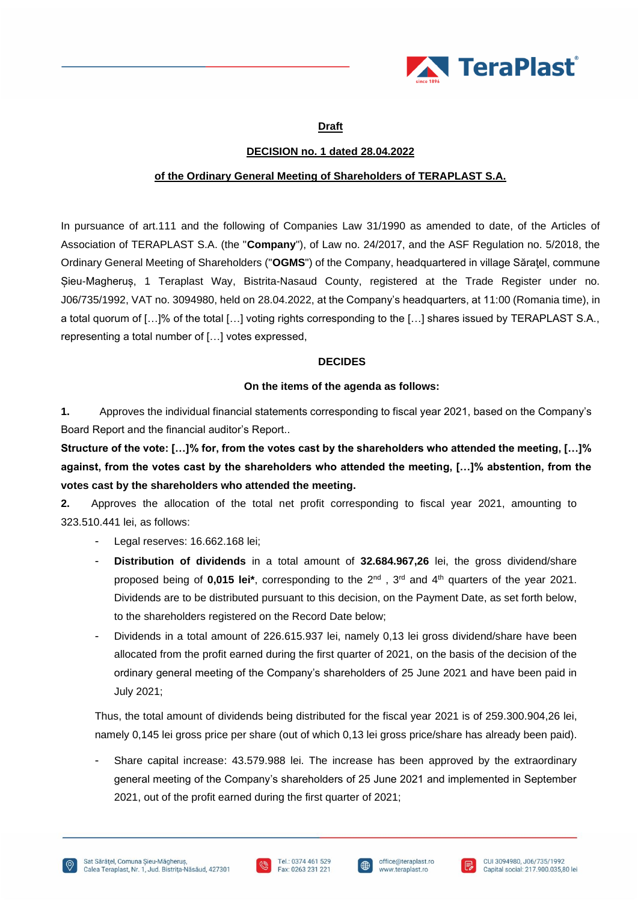

# **Draft**

# **DECISION no. 1 dated 28.04.2022**

# **of the Ordinary General Meeting of Shareholders of TERAPLAST S.A.**

In pursuance of art.111 and the following of Companies Law 31/1990 as amended to date, of the Articles of Association of TERAPLAST S.A. (the "**Company**"), of Law no. 24/2017, and the ASF Regulation no. 5/2018, the Ordinary General Meeting of Shareholders ("**OGMS**") of the Company, headquartered in village Săraţel, commune Șieu-Magheruș, 1 Teraplast Way, Bistrita-Nasaud County, registered at the Trade Register under no. J06/735/1992, VAT no. 3094980, held on 28.04.2022, at the Company's headquarters, at 11:00 (Romania time), in a total quorum of […]% of the total […] voting rights corresponding to the […] shares issued by TERAPLAST S.A., representing a total number of […] votes expressed,

# **DECIDES**

# **On the items of the agenda as follows:**

**1.** Approves the individual financial statements corresponding to fiscal year 2021, based on the Company's Board Report and the financial auditor's Report..

**Structure of the vote: […]% for, from the votes cast by the shareholders who attended the meeting, […]% against, from the votes cast by the shareholders who attended the meeting, […]% abstention, from the votes cast by the shareholders who attended the meeting.**

**2.** Approves the allocation of the total net profit corresponding to fiscal year 2021, amounting to 323.510.441 lei, as follows:

- Legal reserves: 16.662.168 lei;
- **Distribution of dividends** in a total amount of **32.684.967,26** lei, the gross dividend/share proposed being of **0,015 lei\***, corresponding to the 2nd , 3rd and 4th quarters of the year 2021. Dividends are to be distributed pursuant to this decision, on the Payment Date, as set forth below, to the shareholders registered on the Record Date below;
- Dividends in a total amount of 226.615.937 lei, namely 0,13 lei gross dividend/share have been allocated from the profit earned during the first quarter of 2021, on the basis of the decision of the ordinary general meeting of the Company's shareholders of 25 June 2021 and have been paid in July 2021;

Thus, the total amount of dividends being distributed for the fiscal year 2021 is of 259.300.904,26 lei, namely 0,145 lei gross price per share (out of which 0,13 lei gross price/share has already been paid).

Share capital increase: 43.579.988 lei. The increase has been approved by the extraordinary general meeting of the Company's shareholders of 25 June 2021 and implemented in September 2021, out of the profit earned during the first quarter of 2021;





I⊕

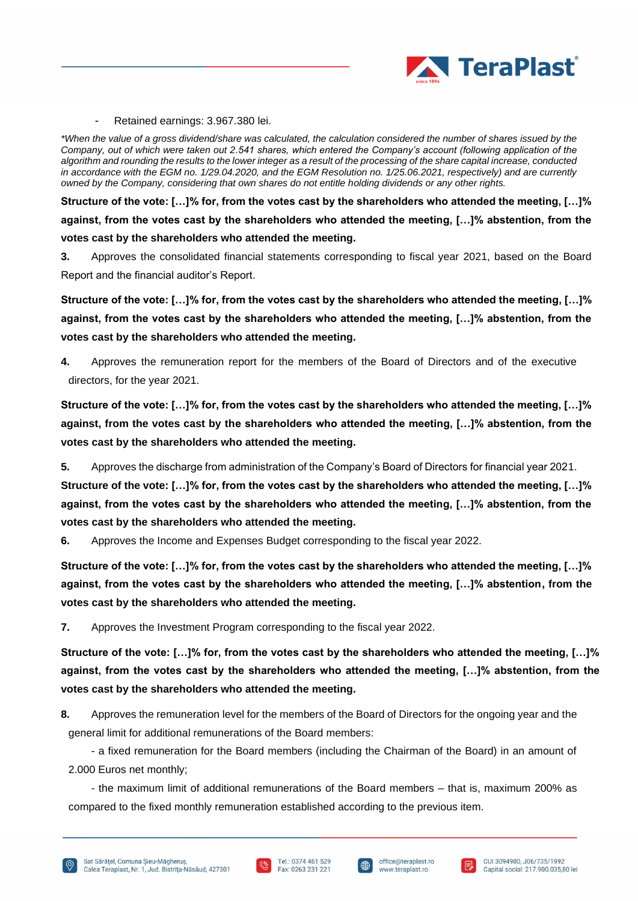

Retained earnings: 3.967.380 lei.

*\*When the value of a gross dividend/share was calculated, the calculation considered the number of shares issued by the Company, out of which were taken out 2.541 shares, which entered the Company's account (following application of the algorithm and rounding the results to the lower integer as a result of the processing of the share capital increase, conducted in accordance with the EGM no. 1/29.04.2020, and the EGM Resolution no. 1/25.06.2021, respectively) and are currently owned by the Company, considering that own shares do not entitle holding dividends or any other rights.*

**Structure of the vote: […]% for, from the votes cast by the shareholders who attended the meeting, […]% against, from the votes cast by the shareholders who attended the meeting, […]% abstention, from the votes cast by the shareholders who attended the meeting.**

**3.** Approves the consolidated financial statements corresponding to fiscal year 2021, based on the Board Report and the financial auditor's Report.

**Structure of the vote: […]% for, from the votes cast by the shareholders who attended the meeting, […]% against, from the votes cast by the shareholders who attended the meeting, […]% abstention, from the votes cast by the shareholders who attended the meeting.**

**4.** Approves the remuneration report for the members of the Board of Directors and of the executive directors, for the year 2021.

**Structure of the vote: […]% for, from the votes cast by the shareholders who attended the meeting, […]% against, from the votes cast by the shareholders who attended the meeting, […]% abstention, from the votes cast by the shareholders who attended the meeting.**

**5.** Approves the discharge from administration of the Company's Board of Directors for financial year 2021.

**Structure of the vote: […]% for, from the votes cast by the shareholders who attended the meeting, […]% against, from the votes cast by the shareholders who attended the meeting, […]% abstention, from the votes cast by the shareholders who attended the meeting.**

**6.** Approves the Income and Expenses Budget corresponding to the fiscal year 2022.

**Structure of the vote: […]% for, from the votes cast by the shareholders who attended the meeting, […]% against, from the votes cast by the shareholders who attended the meeting, […]% abstention, from the votes cast by the shareholders who attended the meeting.**

**7.** Approves the Investment Program corresponding to the fiscal year 2022.

**Structure of the vote: […]% for, from the votes cast by the shareholders who attended the meeting, […]% against, from the votes cast by the shareholders who attended the meeting, […]% abstention, from the votes cast by the shareholders who attended the meeting.**

**8.** Approves the remuneration level for the members of the Board of Directors for the ongoing year and the general limit for additional remunerations of the Board members:

- a fixed remuneration for the Board members (including the Chairman of the Board) in an amount of 2.000 Euros net monthly;

- the maximum limit of additional remunerations of the Board members – that is, maximum 200% as compared to the fixed monthly remuneration established according to the previous item.





I⊕

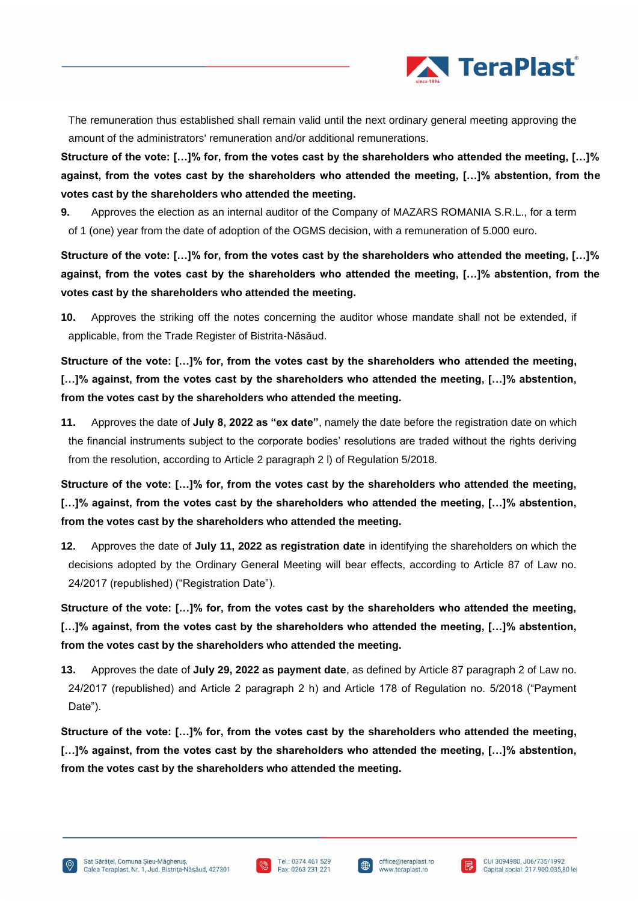

The remuneration thus established shall remain valid until the next ordinary general meeting approving the amount of the administrators' remuneration and/or additional remunerations.

**Structure of the vote: […]% for, from the votes cast by the shareholders who attended the meeting, […]% against, from the votes cast by the shareholders who attended the meeting, […]% abstention, from the votes cast by the shareholders who attended the meeting.**

**9.** Approves the election as an internal auditor of the Company of MAZARS ROMANIA S.R.L., for a term of 1 (one) year from the date of adoption of the OGMS decision, with a remuneration of 5.000 euro.

**Structure of the vote: […]% for, from the votes cast by the shareholders who attended the meeting, […]% against, from the votes cast by the shareholders who attended the meeting, […]% abstention, from the votes cast by the shareholders who attended the meeting.**

**10.** Approves the striking off the notes concerning the auditor whose mandate shall not be extended, if applicable, from the Trade Register of Bistrita-Năsăud.

**Structure of the vote: […]% for, from the votes cast by the shareholders who attended the meeting, […]% against, from the votes cast by the shareholders who attended the meeting, […]% abstention, from the votes cast by the shareholders who attended the meeting.**

**11.** Approves the date of **July 8, 2022 as "ex date"**, namely the date before the registration date on which the financial instruments subject to the corporate bodies' resolutions are traded without the rights deriving from the resolution, according to Article 2 paragraph 2 l) of Regulation 5/2018.

**Structure of the vote: […]% for, from the votes cast by the shareholders who attended the meeting, […]% against, from the votes cast by the shareholders who attended the meeting, […]% abstention, from the votes cast by the shareholders who attended the meeting.**

**12.** Approves the date of **July 11, 2022 as registration date** in identifying the shareholders on which the decisions adopted by the Ordinary General Meeting will bear effects, according to Article 87 of Law no. 24/2017 (republished) ("Registration Date").

**Structure of the vote: […]% for, from the votes cast by the shareholders who attended the meeting, […]% against, from the votes cast by the shareholders who attended the meeting, […]% abstention, from the votes cast by the shareholders who attended the meeting.**

**13.** Approves the date of **July 29, 2022 as payment date**, as defined by Article 87 paragraph 2 of Law no. 24/2017 (republished) and Article 2 paragraph 2 h) and Article 178 of Regulation no. 5/2018 ("Payment Date").

**Structure of the vote: […]% for, from the votes cast by the shareholders who attended the meeting, […]% against, from the votes cast by the shareholders who attended the meeting, […]% abstention, from the votes cast by the shareholders who attended the meeting.**







I⊕